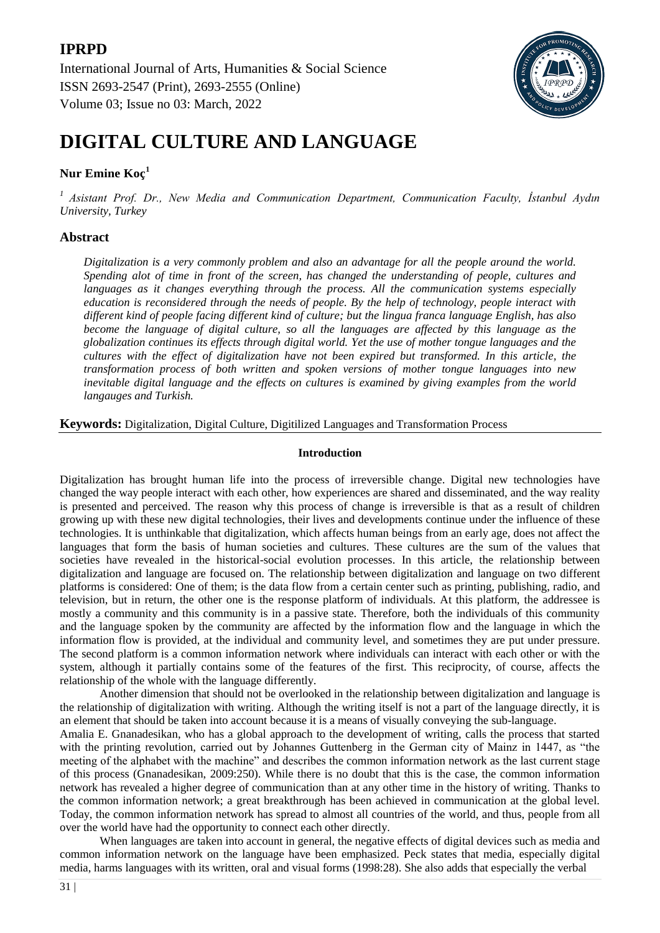**IPRPD** International Journal of Arts, Humanities & Social Science ISSN 2693-2547 (Print), 2693-2555 (Online) Volume 03; Issue no 03: March, 2022



# **DIGITAL CULTURE AND LANGUAGE**

## **Nur Emine Koç<sup>1</sup>**

*<sup>1</sup>Asistant Prof. Dr., New Media and Communication Department, Communication Faculty, İstanbul Aydın University, Turkey*

### **Abstract**

*Digitalization is a very commonly problem and also an advantage for all the people around the world. Spending alot of time in front of the screen, has changed the understanding of people, cultures and languages as it changes everything through the process. All the communication systems especially education is reconsidered through the needs of people. By the help of technology, people interact with different kind of people facing different kind of culture; but the lingua franca language English, has also become the language of digital culture, so all the languages are affected by this language as the globalization continues its effects through digital world. Yet the use of mother tongue languages and the cultures with the effect of digitalization have not been expired but transformed. In this article, the transformation process of both written and spoken versions of mother tongue languages into new inevitable digital language and the effects on cultures is examined by giving examples from the world langauges and Turkish.*

**Keywords:** Digitalization, Digital Culture, Digitilized Languages and Transformation Process

#### **Introduction**

Digitalization has brought human life into the process of irreversible change. Digital new technologies have changed the way people interact with each other, how experiences are shared and disseminated, and the way reality is presented and perceived. The reason why this process of change is irreversible is that as a result of children growing up with these new digital technologies, their lives and developments continue under the influence of these technologies. It is unthinkable that digitalization, which affects human beings from an early age, does not affect the languages that form the basis of human societies and cultures. These cultures are the sum of the values that societies have revealed in the historical-social evolution processes. In this article, the relationship between digitalization and language are focused on. The relationship between digitalization and language on two different platforms is considered: One of them; is the data flow from a certain center such as printing, publishing, radio, and television, but in return, the other one is the response platform of individuals. At this platform, the addressee is mostly a community and this community is in a passive state. Therefore, both the individuals of this community and the language spoken by the community are affected by the information flow and the language in which the information flow is provided, at the individual and community level, and sometimes they are put under pressure. The second platform is a common information network where individuals can interact with each other or with the system, although it partially contains some of the features of the first. This reciprocity, of course, affects the relationship of the whole with the language differently.

Another dimension that should not be overlooked in the relationship between digitalization and language is the relationship of digitalization with writing. Although the writing itself is not a part of the language directly, it is an element that should be taken into account because it is a means of visually conveying the sub-language.

Amalia E. Gnanadesikan, who has a global approach to the development of writing, calls the process that started with the printing revolution, carried out by Johannes Guttenberg in the German city of Mainz in 1447, as "the meeting of the alphabet with the machine" and describes the common information network as the last current stage of this process (Gnanadesikan, 2009:250). While there is no doubt that this is the case, the common information network has revealed a higher degree of communication than at any other time in the history of writing. Thanks to the common information network; a great breakthrough has been achieved in communication at the global level. Today, the common information network has spread to almost all countries of the world, and thus, people from all over the world have had the opportunity to connect each other directly.

When languages are taken into account in general, the negative effects of digital devices such as media and common information network on the language have been emphasized. Peck states that media, especially digital media, harms languages with its written, oral and visual forms (1998:28). She also adds that especially the verbal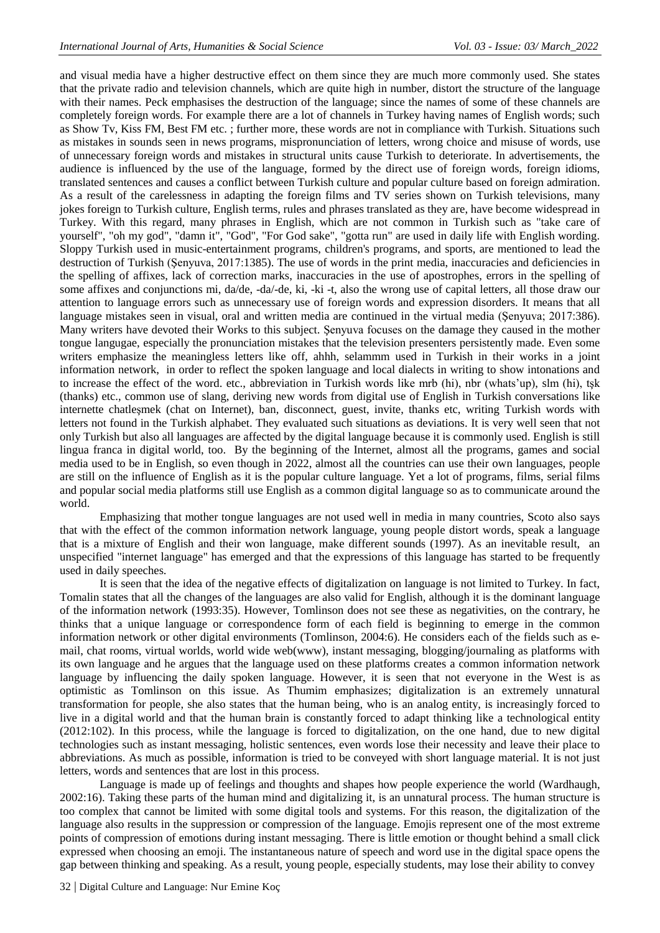and visual media have a higher destructive effect on them since they are much more commonly used. She states that the private radio and television channels, which are quite high in number, distort the structure of the language with their names. Peck emphasises the destruction of the language; since the names of some of these channels are completely foreign words. For example there are a lot of channels in Turkey having names of English words; such as Show Tv, Kiss FM, Best FM etc. ; further more, these words are not in compliance with Turkish. Situations such as mistakes in sounds seen in news programs, mispronunciation of letters, wrong choice and misuse of words, use of unnecessary foreign words and mistakes in structural units cause Turkish to deteriorate. In advertisements, the audience is influenced by the use of the language, formed by the direct use of foreign words, foreign idioms, translated sentences and causes a conflict between Turkish culture and popular culture based on foreign admiration. As a result of the carelessness in adapting the foreign films and TV series shown on Turkish televisions, many jokes foreign to Turkish culture, English terms, rules and phrases translated as they are, have become widespread in Turkey. With this regard, many phrases in English, which are not common in Turkish such as "take care of yourself", "oh my god", "damn it", "God", "For God sake", "gotta run" are used in daily life with English wording. Sloppy Turkish used in music-entertainment programs, children's programs, and sports, are mentioned to lead the destruction of Turkish (Şenyuva, 2017:1385). The use of words in the print media, inaccuracies and deficiencies in the spelling of affixes, lack of correction marks, inaccuracies in the use of apostrophes, errors in the spelling of some affixes and conjunctions mi, da/de, -da/-de, ki, -ki -t, also the wrong use of capital letters, all those draw our attention to language errors such as unnecessary use of foreign words and expression disorders. It means that all language mistakes seen in visual, oral and written media are continued in the virtual media (Şenyuva; 2017:386). Many writers have devoted their Works to this subject. Şenyuva focuses on the damage they caused in the mother tongue langugae, especially the pronunciation mistakes that the television presenters persistently made. Even some writers emphasize the meaningless letters like off, ahhh, selammm used in Turkish in their works in a joint information network, in order to reflect the spoken language and local dialects in writing to show intonations and to increase the effect of the word. etc., abbreviation in Turkish words like mrb (hi), nbr (whats'up), slm (hi), tşk (thanks) etc., common use of slang, deriving new words from digital use of English in Turkish conversations like internette chatleşmek (chat on Internet), ban, disconnect, guest, invite, thanks etc, writing Turkish words with letters not found in the Turkish alphabet. They evaluated such situations as deviations. It is very well seen that not only Turkish but also all languages are affected by the digital language because it is commonly used. English is still lingua franca in digital world, too. By the beginning of the Internet, almost all the programs, games and social media used to be in English, so even though in 2022, almost all the countries can use their own languages, people are still on the influence of English as it is the popular culture language. Yet a lot of programs, films, serial films and popular social media platforms still use English as a common digital language so as to communicate around the world.

Emphasizing that mother tongue languages are not used well in media in many countries, Scoto also says that with the effect of the common information network language, young people distort words, speak a language that is a mixture of English and their won language, make different sounds (1997). As an inevitable result, an unspecified "internet language" has emerged and that the expressions of this language has started to be frequently used in daily speeches.

It is seen that the idea of the negative effects of digitalization on language is not limited to Turkey. In fact, Tomalin states that all the changes of the languages are also valid for English, although it is the dominant language of the information network (1993:35). However, Tomlinson does not see these as negativities, on the contrary, he thinks that a unique language or correspondence form of each field is beginning to emerge in the common information network or other digital environments (Tomlinson, 2004:6). He considers each of the fields such as email, chat rooms, virtual worlds, world wide web(www), instant messaging, blogging/journaling as platforms with its own language and he argues that the language used on these platforms creates a common information network language by influencing the daily spoken language. However, it is seen that not everyone in the West is as optimistic as Tomlinson on this issue. As Thumim emphasizes; digitalization is an extremely unnatural transformation for people, she also states that the human being, who is an analog entity, is increasingly forced to live in a digital world and that the human brain is constantly forced to adapt thinking like a technological entity (2012:102). In this process, while the language is forced to digitalization, on the one hand, due to new digital technologies such as instant messaging, holistic sentences, even words lose their necessity and leave their place to abbreviations. As much as possible, information is tried to be conveyed with short language material. It is not just letters, words and sentences that are lost in this process.

Language is made up of feelings and thoughts and shapes how people experience the world (Wardhaugh, 2002:16). Taking these parts of the human mind and digitalizing it, is an unnatural process. The human structure is too complex that cannot be limited with some digital tools and systems. For this reason, the digitalization of the language also results in the suppression or compression of the language. Emojis represent one of the most extreme points of compression of emotions during instant messaging. There is little emotion or thought behind a small click expressed when choosing an emoji. The instantaneous nature of speech and word use in the digital space opens the gap between thinking and speaking. As a result, young people, especially students, may lose their ability to convey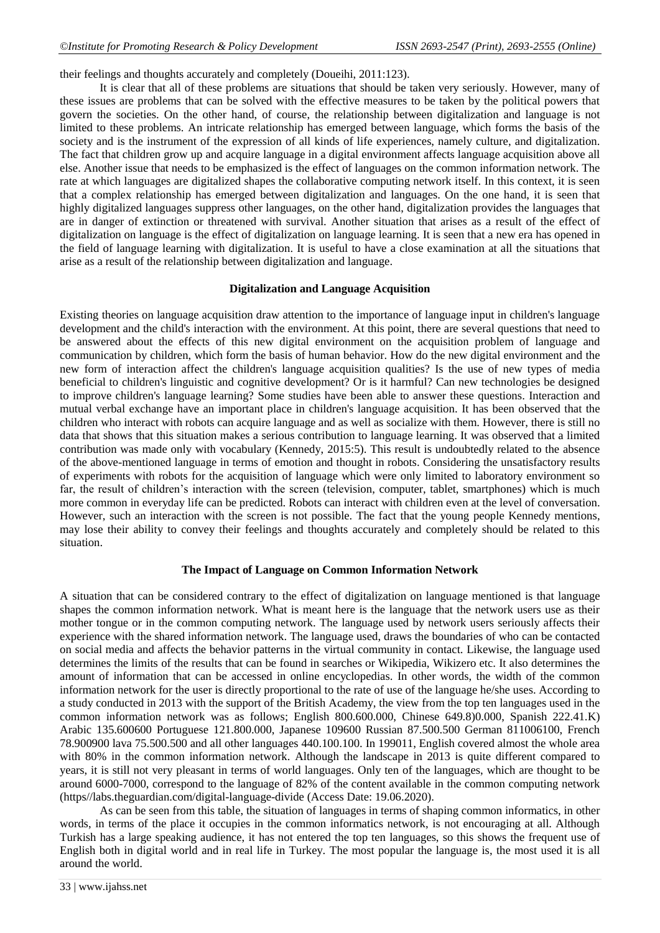their feelings and thoughts accurately and completely (Doueihi, 2011:123).

It is clear that all of these problems are situations that should be taken very seriously. However, many of these issues are problems that can be solved with the effective measures to be taken by the political powers that govern the societies. On the other hand, of course, the relationship between digitalization and language is not limited to these problems. An intricate relationship has emerged between language, which forms the basis of the society and is the instrument of the expression of all kinds of life experiences, namely culture, and digitalization. The fact that children grow up and acquire language in a digital environment affects language acquisition above all else. Another issue that needs to be emphasized is the effect of languages on the common information network. The rate at which languages are digitalized shapes the collaborative computing network itself. In this context, it is seen that a complex relationship has emerged between digitalization and languages. On the one hand, it is seen that highly digitalized languages suppress other languages, on the other hand, digitalization provides the languages that are in danger of extinction or threatened with survival. Another situation that arises as a result of the effect of digitalization on language is the effect of digitalization on language learning. It is seen that a new era has opened in the field of language learning with digitalization. It is useful to have a close examination at all the situations that arise as a result of the relationship between digitalization and language.

#### **Digitalization and Language Acquisition**

Existing theories on language acquisition draw attention to the importance of language input in children's language development and the child's interaction with the environment. At this point, there are several questions that need to be answered about the effects of this new digital environment on the acquisition problem of language and communication by children, which form the basis of human behavior. How do the new digital environment and the new form of interaction affect the children's language acquisition qualities? Is the use of new types of media beneficial to children's linguistic and cognitive development? Or is it harmful? Can new technologies be designed to improve children's language learning? Some studies have been able to answer these questions. Interaction and mutual verbal exchange have an important place in children's language acquisition. It has been observed that the children who interact with robots can acquire language and as well as socialize with them. However, there is still no data that shows that this situation makes a serious contribution to language learning. It was observed that a limited contribution was made only with vocabulary (Kennedy, 2015:5). This result is undoubtedly related to the absence of the above-mentioned language in terms of emotion and thought in robots. Considering the unsatisfactory results of experiments with robots for the acquisition of language which were only limited to laboratory environment so far, the result of children's interaction with the screen (television, computer, tablet, smartphones) which is much more common in everyday life can be predicted. Robots can interact with children even at the level of conversation. However, such an interaction with the screen is not possible. The fact that the young people Kennedy mentions, may lose their ability to convey their feelings and thoughts accurately and completely should be related to this situation.

#### **The Impact of Language on Common Information Network**

A situation that can be considered contrary to the effect of digitalization on language mentioned is that language shapes the common information network. What is meant here is the language that the network users use as their mother tongue or in the common computing network. The language used by network users seriously affects their experience with the shared information network. The language used, draws the boundaries of who can be contacted on social media and affects the behavior patterns in the virtual community in contact. Likewise, the language used determines the limits of the results that can be found in searches or Wikipedia, Wikizero etc. It also determines the amount of information that can be accessed in online encyclopedias. In other words, the width of the common information network for the user is directly proportional to the rate of use of the language he/she uses. According to a study conducted in 2013 with the support of the British Academy, the view from the top ten languages used in the common information network was as follows; English 800.600.000, Chinese 649.8)0.000, Spanish 222.41.K) Arabic 135.600600 Portuguese 121.800.000, Japanese 109600 Russian 87.500.500 German 811006100, French 78.900900 lava 75.500.500 and all other languages 440.100.100. In 199011, English covered almost the whole area with 80% in the common information network. Although the landscape in 2013 is quite different compared to years, it is still not very pleasant in terms of world languages. Only ten of the languages, which are thought to be around 6000-7000, correspond to the language of 82% of the content available in the common computing network (https//labs.theguardian.com/digital-language-divide (Access Date: 19.06.2020).

As can be seen from this table, the situation of languages in terms of shaping common informatics, in other words, in terms of the place it occupies in the common informatics network, is not encouraging at all. Although Turkish has a large speaking audience, it has not entered the top ten languages, so this shows the frequent use of English both in digital world and in real life in Turkey. The most popular the language is, the most used it is all around the world.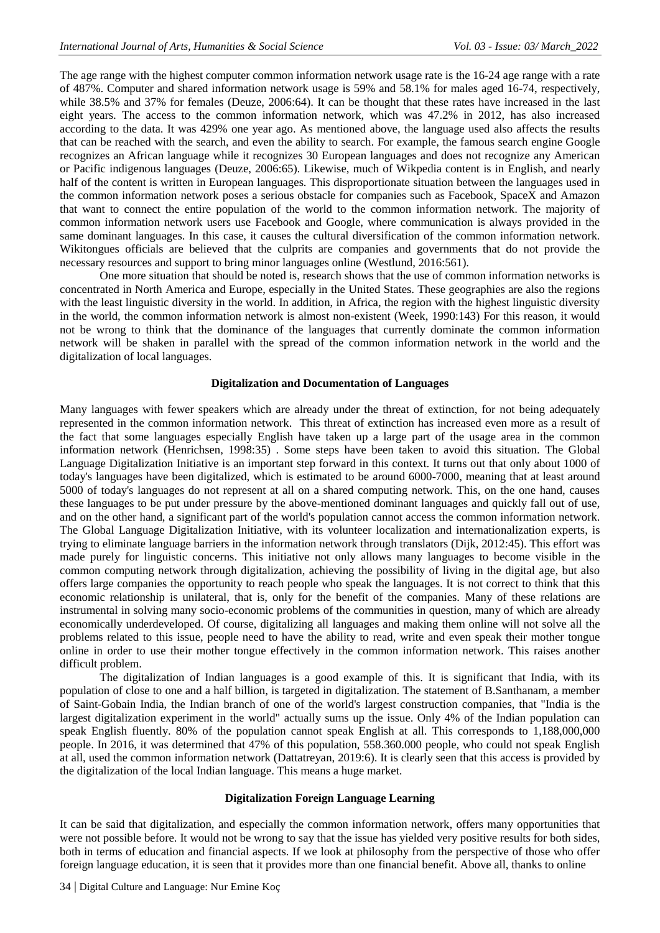The age range with the highest computer common information network usage rate is the 16-24 age range with a rate of 487%. Computer and shared information network usage is 59% and 58.1% for males aged 16-74, respectively, while 38.5% and 37% for females (Deuze, 2006:64). It can be thought that these rates have increased in the last eight years. The access to the common information network, which was 47.2% in 2012, has also increased according to the data. It was 429% one year ago. As mentioned above, the language used also affects the results that can be reached with the search, and even the ability to search. For example, the famous search engine Google recognizes an African language while it recognizes 30 European languages and does not recognize any American or Pacific indigenous languages (Deuze, 2006:65). Likewise, much of Wikpedia content is in English, and nearly half of the content is written in European languages. This disproportionate situation between the languages used in the common information network poses a serious obstacle for companies such as Facebook, SpaceX and Amazon that want to connect the entire population of the world to the common information network. The majority of common information network users use Facebook and Google, where communication is always provided in the same dominant languages. In this case, it causes the cultural diversification of the common information network. Wikitongues officials are believed that the culprits are companies and governments that do not provide the necessary resources and support to bring minor languages online (Westlund, 2016:561).

One more situation that should be noted is, research shows that the use of common information networks is concentrated in North America and Europe, especially in the United States. These geographies are also the regions with the least linguistic diversity in the world. In addition, in Africa, the region with the highest linguistic diversity in the world, the common information network is almost non-existent (Week, 1990:143) For this reason, it would not be wrong to think that the dominance of the languages that currently dominate the common information network will be shaken in parallel with the spread of the common information network in the world and the digitalization of local languages.

#### **Digitalization and Documentation of Languages**

Many languages with fewer speakers which are already under the threat of extinction, for not being adequately represented in the common information network. This threat of extinction has increased even more as a result of the fact that some languages especially English have taken up a large part of the usage area in the common information network (Henrichsen, 1998:35) . Some steps have been taken to avoid this situation. The Global Language Digitalization Initiative is an important step forward in this context. It turns out that only about 1000 of today's languages have been digitalized, which is estimated to be around 6000-7000, meaning that at least around 5000 of today's languages do not represent at all on a shared computing network. This, on the one hand, causes these languages to be put under pressure by the above-mentioned dominant languages and quickly fall out of use, and on the other hand, a significant part of the world's population cannot access the common information network. The Global Language Digitalization Initiative, with its volunteer localization and internationalization experts, is trying to eliminate language barriers in the information network through translators (Dijk, 2012:45). This effort was made purely for linguistic concerns. This initiative not only allows many languages to become visible in the common computing network through digitalization, achieving the possibility of living in the digital age, but also offers large companies the opportunity to reach people who speak the languages. It is not correct to think that this economic relationship is unilateral, that is, only for the benefit of the companies. Many of these relations are instrumental in solving many socio-economic problems of the communities in question, many of which are already economically underdeveloped. Of course, digitalizing all languages and making them online will not solve all the problems related to this issue, people need to have the ability to read, write and even speak their mother tongue online in order to use their mother tongue effectively in the common information network. This raises another difficult problem.

The digitalization of Indian languages is a good example of this. It is significant that India, with its population of close to one and a half billion, is targeted in digitalization. The statement of B.Santhanam, a member of Saint-Gobain India, the Indian branch of one of the world's largest construction companies, that "India is the largest digitalization experiment in the world" actually sums up the issue. Only 4% of the Indian population can speak English fluently. 80% of the population cannot speak English at all. This corresponds to 1,188,000,000 people. In 2016, it was determined that 47% of this population, 558.360.000 people, who could not speak English at all, used the common information network (Dattatreyan, 2019:6). It is clearly seen that this access is provided by the digitalization of the local Indian language. This means a huge market.

#### **Digitalization Foreign Language Learning**

It can be said that digitalization, and especially the common information network, offers many opportunities that were not possible before. It would not be wrong to say that the issue has yielded very positive results for both sides, both in terms of education and financial aspects. If we look at philosophy from the perspective of those who offer foreign language education, it is seen that it provides more than one financial benefit. Above all, thanks to online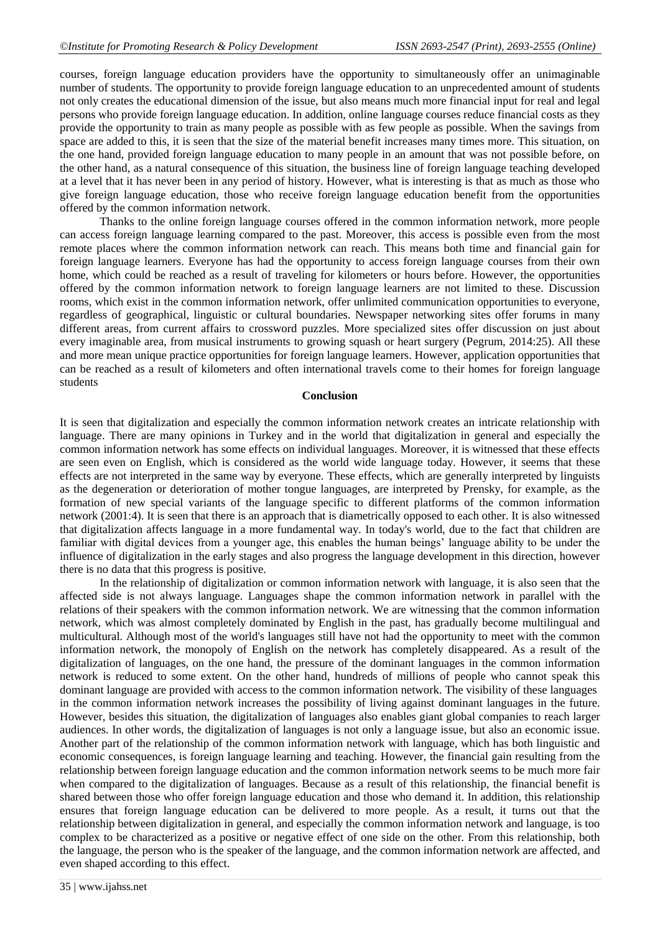courses, foreign language education providers have the opportunity to simultaneously offer an unimaginable number of students. The opportunity to provide foreign language education to an unprecedented amount of students not only creates the educational dimension of the issue, but also means much more financial input for real and legal persons who provide foreign language education. In addition, online language courses reduce financial costs as they provide the opportunity to train as many people as possible with as few people as possible. When the savings from space are added to this, it is seen that the size of the material benefit increases many times more. This situation, on the one hand, provided foreign language education to many people in an amount that was not possible before, on the other hand, as a natural consequence of this situation, the business line of foreign language teaching developed at a level that it has never been in any period of history. However, what is interesting is that as much as those who give foreign language education, those who receive foreign language education benefit from the opportunities offered by the common information network.

Thanks to the online foreign language courses offered in the common information network, more people can access foreign language learning compared to the past. Moreover, this access is possible even from the most remote places where the common information network can reach. This means both time and financial gain for foreign language learners. Everyone has had the opportunity to access foreign language courses from their own home, which could be reached as a result of traveling for kilometers or hours before. However, the opportunities offered by the common information network to foreign language learners are not limited to these. Discussion rooms, which exist in the common information network, offer unlimited communication opportunities to everyone, regardless of geographical, linguistic or cultural boundaries. Newspaper networking sites offer forums in many different areas, from current affairs to crossword puzzles. More specialized sites offer discussion on just about every imaginable area, from musical instruments to growing squash or heart surgery (Pegrum, 2014:25). All these and more mean unique practice opportunities for foreign language learners. However, application opportunities that can be reached as a result of kilometers and often international travels come to their homes for foreign language students

#### **Conclusion**

It is seen that digitalization and especially the common information network creates an intricate relationship with language. There are many opinions in Turkey and in the world that digitalization in general and especially the common information network has some effects on individual languages. Moreover, it is witnessed that these effects are seen even on English, which is considered as the world wide language today. However, it seems that these effects are not interpreted in the same way by everyone. These effects, which are generally interpreted by linguists as the degeneration or deterioration of mother tongue languages, are interpreted by Prensky, for example, as the formation of new special variants of the language specific to different platforms of the common information network (2001:4). It is seen that there is an approach that is diametrically opposed to each other. It is also witnessed that digitalization affects language in a more fundamental way. In today's world, due to the fact that children are familiar with digital devices from a younger age, this enables the human beings' language ability to be under the influence of digitalization in the early stages and also progress the language development in this direction, however there is no data that this progress is positive.

In the relationship of digitalization or common information network with language, it is also seen that the affected side is not always language. Languages shape the common information network in parallel with the relations of their speakers with the common information network. We are witnessing that the common information network, which was almost completely dominated by English in the past, has gradually become multilingual and multicultural. Although most of the world's languages still have not had the opportunity to meet with the common information network, the monopoly of English on the network has completely disappeared. As a result of the digitalization of languages, on the one hand, the pressure of the dominant languages in the common information network is reduced to some extent. On the other hand, hundreds of millions of people who cannot speak this dominant language are provided with access to the common information network. The visibility of these languages in the common information network increases the possibility of living against dominant languages in the future. However, besides this situation, the digitalization of languages also enables giant global companies to reach larger audiences. In other words, the digitalization of languages is not only a language issue, but also an economic issue. Another part of the relationship of the common information network with language, which has both linguistic and economic consequences, is foreign language learning and teaching. However, the financial gain resulting from the relationship between foreign language education and the common information network seems to be much more fair when compared to the digitalization of languages. Because as a result of this relationship, the financial benefit is shared between those who offer foreign language education and those who demand it. In addition, this relationship ensures that foreign language education can be delivered to more people. As a result, it turns out that the relationship between digitalization in general, and especially the common information network and language, is too complex to be characterized as a positive or negative effect of one side on the other. From this relationship, both the language, the person who is the speaker of the language, and the common information network are affected, and even shaped according to this effect.